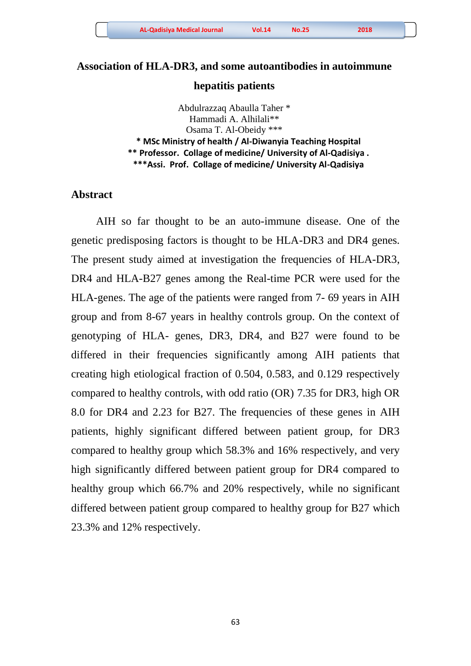# **Association of HLA-DR3, and some autoantibodies in autoimmune**

## **hepatitis patients**

Abdulrazzaq Abaulla Taher \* Hammadi A. Alhilali\*\* Osama T. Al-Obeidy \*\*\* **\* MSc Ministry of health / Al-Diwanyia Teaching Hospital \*\* Professor. Collage of medicine/ University of Al-Qadisiya . \*\*\*Assi. Prof. Collage of medicine/ University Al-Qadisiya**

## **Abstract**

 AIH so far thought to be an auto-immune disease. One of the genetic predisposing factors is thought to be HLA-DR3 and DR4 genes. The present study aimed at investigation the frequencies of HLA-DR3, DR4 and HLA-B27 genes among the Real-time PCR were used for the HLA-genes. The age of the patients were ranged from 7- 69 years in AIH group and from 8-67 years in healthy controls group. On the context of genotyping of HLA- genes, DR3, DR4, and B27 were found to be differed in their frequencies significantly among AIH patients that creating high etiological fraction of 0.504, 0.583, and 0.129 respectively compared to healthy controls, with odd ratio (OR) 7.35 for DR3, high OR 8.0 for DR4 and 2.23 for B27. The frequencies of these genes in AIH patients, highly significant differed between patient group, for DR3 compared to healthy group which 58.3% and 16% respectively, and very high significantly differed between patient group for DR4 compared to healthy group which 66.7% and 20% respectively, while no significant differed between patient group compared to healthy group for B27 which 23.3% and 12% respectively.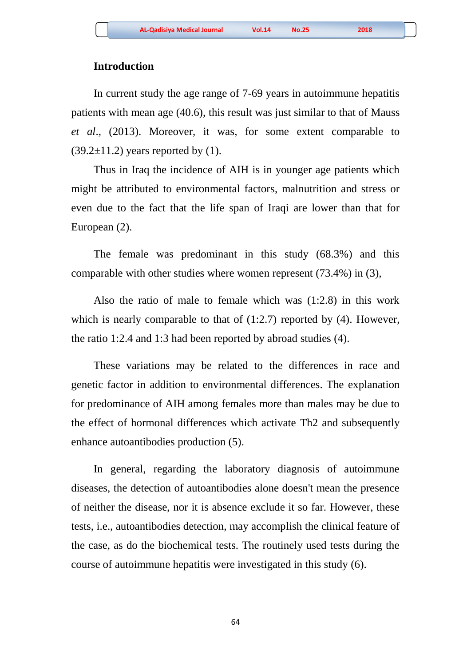#### **Introduction**

In current study the age range of 7-69 years in autoimmune hepatitis patients with mean age (40.6), this result was just similar to that of Mauss *et al*., (2013). Moreover, it was, for some extent comparable to  $(39.2\pm11.2)$  years reported by (1).

Thus in Iraq the incidence of AIH is in younger age patients which might be attributed to environmental factors, malnutrition and stress or even due to the fact that the life span of Iraqi are lower than that for European (2).

The female was predominant in this study (68.3%) and this comparable with other studies where women represent (73.4%) in (3),

Also the ratio of male to female which was (1:2.8) in this work which is nearly comparable to that of  $(1:2.7)$  reported by  $(4)$ . However, the ratio 1:2.4 and 1:3 had been reported by abroad studies (4).

These variations may be related to the differences in race and genetic factor in addition to environmental differences. The explanation for predominance of AIH among females more than males may be due to the effect of hormonal differences which activate Th2 and subsequently enhance autoantibodies production (5).

In general, regarding the laboratory diagnosis of autoimmune diseases, the detection of autoantibodies alone doesn't mean the presence of neither the disease, nor it is absence exclude it so far. However, these tests, i.e., autoantibodies detection, may accomplish the clinical feature of the case, as do the biochemical tests. The routinely used tests during the course of autoimmune hepatitis were investigated in this study (6).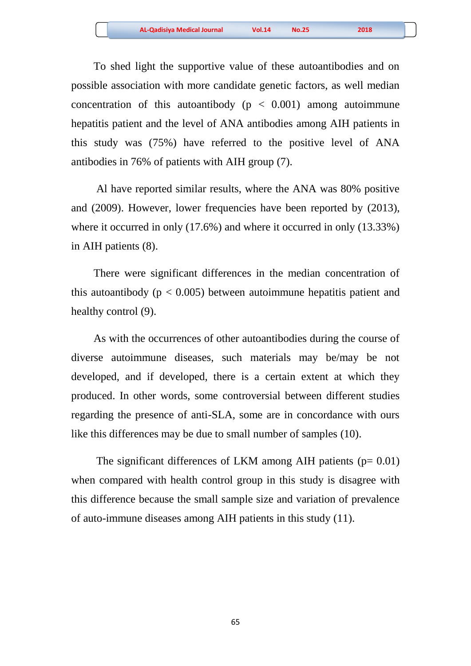To shed light the supportive value of these autoantibodies and on possible association with more candidate genetic factors, as well median concentration of this autoantibody ( $p < 0.001$ ) among autoimmune hepatitis patient and the level of ANA antibodies among AIH patients in this study was (75%) have referred to the positive level of ANA antibodies in 76% of patients with AIH group (7).

Al have reported similar results, where the ANA was 80% positive and (2009). However, lower frequencies have been reported by (2013), where it occurred in only (17.6%) and where it occurred in only (13.33%) in AIH patients (8).

There were significant differences in the median concentration of this autoantibody ( $p < 0.005$ ) between autoimmune hepatitis patient and healthy control (9).

As with the occurrences of other autoantibodies during the course of diverse autoimmune diseases, such materials may be/may be not developed, and if developed, there is a certain extent at which they produced. In other words, some controversial between different studies regarding the presence of anti-SLA, some are in concordance with ours like this differences may be due to small number of samples (10).

The significant differences of LKM among AIH patients ( $p= 0.01$ ) when compared with health control group in this study is disagree with this difference because the small sample size and variation of prevalence of auto-immune diseases among AIH patients in this study (11).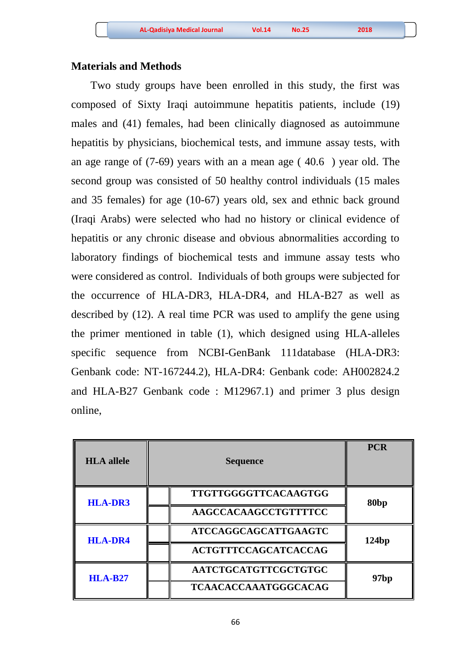### **Materials and Methods**

 Two study groups have been enrolled in this study, the first was composed of Sixty Iraqi autoimmune hepatitis patients, include (19) males and (41) females, had been clinically diagnosed as autoimmune hepatitis by physicians, biochemical tests, and immune assay tests, with an age range of (7-69) years with an a mean age ( 40.6 ) year old. The second group was consisted of 50 healthy control individuals (15 males and 35 females) for age (10-67) years old, sex and ethnic back ground (Iraqi Arabs) were selected who had no history or clinical evidence of hepatitis or any chronic disease and obvious abnormalities according to laboratory findings of biochemical tests and immune assay tests who were considered as control. Individuals of both groups were subjected for the occurrence of HLA-DR3, HLA-DR4, and HLA-B27 as well as described by (12). A real time PCR was used to amplify the gene using the primer mentioned in table (1), which designed using HLA-alleles specific sequence from NCBI-GenBank 111database (HLA-DR3: Genbank code: NT-167244.2), HLA-DR4: Genbank code: AH002824.2 and HLA-B27 Genbank code : M12967.1) and primer 3 plus design online,

| <b>HLA</b> allele | <b>Sequence</b>             | <b>PCR</b>       |  |
|-------------------|-----------------------------|------------------|--|
| <b>HLA-DR3</b>    | TTGTTGGGGTTCACAAGTGG        | 80 <sub>bp</sub> |  |
|                   | AAGCCACAAGCCTGTTTTCC        |                  |  |
| <b>HLA-DR4</b>    | <b>ATCCAGGCAGCATTGAAGTC</b> | 124bp            |  |
|                   | <b>ACTGTTTCCAGCATCACCAG</b> |                  |  |
| <b>HLA-B27</b>    | <b>AATCTGCATGTTCGCTGTGC</b> | 97bp             |  |
|                   | <b>TCAACACCAAATGGGCACAG</b> |                  |  |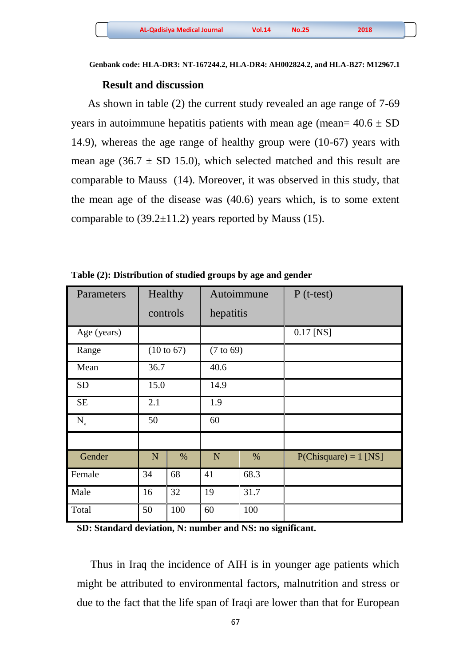#### **Result and discussion**

 As shown in table (2) the current study revealed an age range of 7-69 years in autoimmune hepatitis patients with mean age (mean=  $40.6 \pm SD$ ) 14.9), whereas the age range of healthy group were (10-67) years with mean age  $(36.7 \pm SD 15.0)$ , which selected matched and this result are comparable to Mauss (14). Moreover, it was observed in this study, that the mean age of the disease was (40.6) years which, is to some extent comparable to  $(39.2\pm11.2)$  years reported by Mauss (15).

| Parameters  | Healthy               |     | Autoimmune           |      | $P$ (t-test)            |
|-------------|-----------------------|-----|----------------------|------|-------------------------|
|             | controls              |     | hepatitis            |      |                         |
| Age (years) |                       |     |                      |      | $0.17$ [NS]             |
| Range       | $(10 \text{ to } 67)$ |     | $(7 \text{ to } 69)$ |      |                         |
| Mean        | 36.7                  |     | 40.6                 |      |                         |
| <b>SD</b>   | 15.0                  |     | 14.9                 |      |                         |
| <b>SE</b>   | 2.1                   |     | 1.9                  |      |                         |
| $N_{\circ}$ | 50                    |     | 60                   |      |                         |
|             |                       |     |                      |      |                         |
| Gender      | ${\bf N}$             | %   | $\mathbf N$          | $\%$ | $P(Chisquare) = 1$ [NS] |
| Female      | 34                    | 68  | 41                   | 68.3 |                         |
| Male        | 16                    | 32  | 19                   | 31.7 |                         |
| Total       | 50                    | 100 | 60                   | 100  |                         |

**Table (2): Distribution of studied groups by age and gender**

**SD: Standard deviation, N: number and NS: no significant.**

 Thus in Iraq the incidence of AIH is in younger age patients which might be attributed to environmental factors, malnutrition and stress or due to the fact that the life span of Iraqi are lower than that for European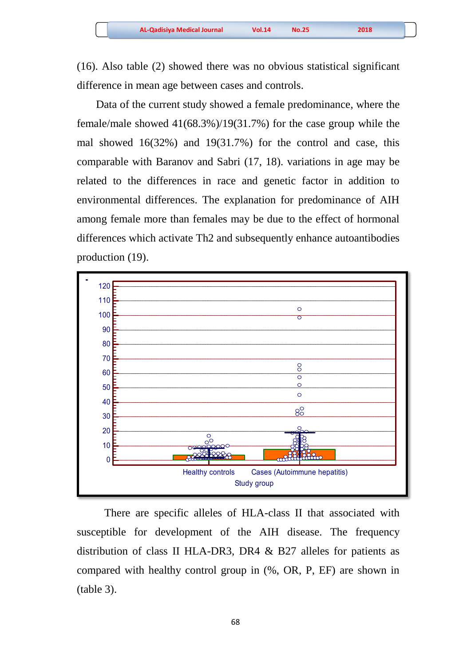(16). Also table (2) showed there was no obvious statistical significant difference in mean age between cases and controls.

 Data of the current study showed a female predominance, where the female/male showed 41(68.3%)/19(31.7%) for the case group while the mal showed 16(32%) and 19(31.7%) for the control and case, this comparable with Baranov and Sabri (17, 18). variations in age may be related to the differences in race and genetic factor in addition to environmental differences. The explanation for predominance of AIH among female more than females may be due to the effect of hormonal differences which activate Th2 and subsequently enhance autoantibodies production (19).



 There are specific alleles of HLA-class II that associated with susceptible for development of the AIH disease. The frequency distribution of class II HLA-DR3, DR4 & B27 alleles for patients as compared with healthy control group in (%, OR, P, EF) are shown in (table 3).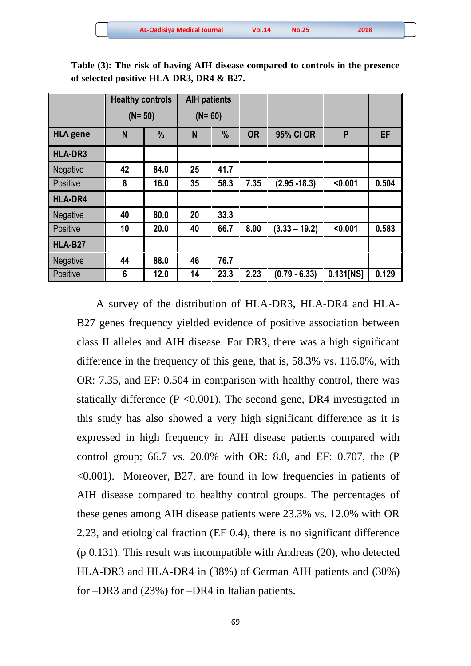|                 | <b>Healthy controls</b><br>$(N = 50)$ |      | <b>AIH patients</b><br>$(N = 60)$ |      |           |                 |           |       |
|-----------------|---------------------------------------|------|-----------------------------------|------|-----------|-----------------|-----------|-------|
| <b>HLA</b> gene | N                                     | %    | N                                 | %    | <b>OR</b> | 95% CI OR       | P         | EF    |
| HLA-DR3         |                                       |      |                                   |      |           |                 |           |       |
| <b>Negative</b> | 42                                    | 84.0 | 25                                | 41.7 |           |                 |           |       |
| Positive        | 8                                     | 16.0 | 35                                | 58.3 | 7.35      | $(2.95 - 18.3)$ | < 0.001   | 0.504 |
| <b>HLA-DR4</b>  |                                       |      |                                   |      |           |                 |           |       |
| Negative        | 40                                    | 80.0 | 20                                | 33.3 |           |                 |           |       |
| <b>Positive</b> | 10                                    | 20.0 | 40                                | 66.7 | 8.00      | $(3.33 - 19.2)$ | < 0.001   | 0.583 |
| HLA-B27         |                                       |      |                                   |      |           |                 |           |       |
| Negative        | 44                                    | 88.0 | 46                                | 76.7 |           |                 |           |       |
| Positive        | 6                                     | 12.0 | 14                                | 23.3 | 2.23      | $(0.79 - 6.33)$ | 0.131[NS] | 0.129 |

**Table (3): The risk of having AIH disease compared to controls in the presence of selected positive HLA-DR3, DR4 & B27.**

 A survey of the distribution of HLA-DR3, HLA-DR4 and HLA-B27 genes frequency yielded evidence of positive association between class II alleles and AIH disease. For DR3, there was a high significant difference in the frequency of this gene, that is, 58.3% vs. 116.0%, with OR: 7.35, and EF: 0.504 in comparison with healthy control, there was statically difference ( $P \le 0.001$ ). The second gene, DR4 investigated in this study has also showed a very high significant difference as it is expressed in high frequency in AIH disease patients compared with control group; 66.7 vs. 20.0% with OR: 8.0, and EF: 0.707, the (P <0.001). Moreover, B27, are found in low frequencies in patients of AIH disease compared to healthy control groups. The percentages of these genes among AIH disease patients were 23.3% vs. 12.0% with OR 2.23, and etiological fraction (EF 0.4), there is no significant difference (p 0.131). This result was incompatible with Andreas (20), who detected HLA-DR3 and HLA-DR4 in (38%) of German AIH patients and (30%) for –DR3 and (23%) for –DR4 in Italian patients.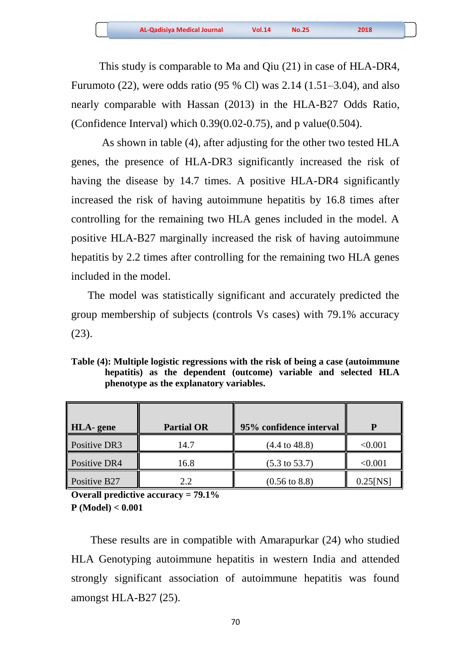This study is comparable to Ma and Qiu (21) in case of HLA-DR4, Furumoto (22), were odds ratio (95 % Cl) was 2.14 (1.51–3.04), and also nearly comparable with Hassan (2013) in the HLA-B27 Odds Ratio, (Confidence Interval) which 0.39(0.02-0.75), and p value(0.504).

As shown in table (4), after adjusting for the other two tested HLA genes, the presence of HLA-DR3 significantly increased the risk of having the disease by 14.7 times. A positive HLA-DR4 significantly increased the risk of having autoimmune hepatitis by 16.8 times after controlling for the remaining two HLA genes included in the model. A positive HLA-B27 marginally increased the risk of having autoimmune hepatitis by 2.2 times after controlling for the remaining two HLA genes included in the model.

 The model was statistically significant and accurately predicted the group membership of subjects (controls Vs cases) with 79.1% accuracy (23).

**Table (4): Multiple logistic regressions with the risk of being a case (autoimmune hepatitis) as the dependent (outcome) variable and selected HLA phenotype as the explanatory variables.**

| HLA- gene    | <b>Partial OR</b> | 95% confidence interval  | p           |
|--------------|-------------------|--------------------------|-------------|
| Positive DR3 | 14.7              | $(4.4 \text{ to } 48.8)$ | < 0.001     |
| Positive DR4 | 16.8              | $(5.3 \text{ to } 53.7)$ | < 0.001     |
| Positive B27 | 22                | $(0.56 \text{ to } 8.8)$ | $0.25$ [NS] |

**Overall predictive accuracy = 79.1% P (Model) < 0.001**

 These results are in compatible with Amarapurkar (24) who studied HLA Genotyping autoimmune hepatitis in western India and attended strongly significant association of autoimmune hepatitis was found amongst HLA-B27 (25).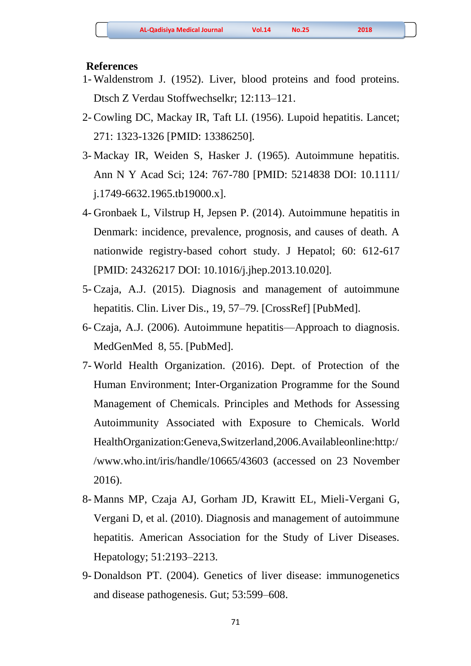#### **References**

- 1- Waldenstrom J. (1952). Liver, blood proteins and food proteins. Dtsch Z Verdau Stoffwechselkr; 12:113–121.
- 2- Cowling DC, Mackay IR, Taft LI. (1956). Lupoid hepatitis. Lancet; 271: 1323-1326 [PMID: 13386250].
- 3- Mackay IR, Weiden S, Hasker J. (1965). Autoimmune hepatitis. Ann N Y Acad Sci; 124: 767-780 [PMID: 5214838 DOI: 10.1111/ j.1749-6632.1965.tb19000.x].
- 4- Gronbaek L, Vilstrup H, Jepsen P. (2014). Autoimmune hepatitis in Denmark: incidence, prevalence, prognosis, and causes of death. A nationwide registry-based cohort study. J Hepatol; 60: 612-617 [PMID: 24326217 DOI: 10.1016/j.jhep.2013.10.020].
- 5- Czaja, A.J. (2015). Diagnosis and management of autoimmune hepatitis. Clin. Liver Dis., 19, 57–79. [CrossRef] [PubMed].
- 6- Czaja, A.J. (2006). Autoimmune hepatitis—Approach to diagnosis. MedGenMed 8, 55. [PubMed].
- 7- World Health Organization. (2016). Dept. of Protection of the Human Environment; Inter-Organization Programme for the Sound Management of Chemicals. Principles and Methods for Assessing Autoimmunity Associated with Exposure to Chemicals. World HealthOrganization:Geneva,Switzerland,2006.Availableonline:http:/ /www.who.int/iris/handle/10665/43603 (accessed on 23 November 2016).
- 8- Manns MP, Czaja AJ, Gorham JD, Krawitt EL, Mieli-Vergani G, Vergani D, et al. (2010). Diagnosis and management of autoimmune hepatitis. American Association for the Study of Liver Diseases. Hepatology; 51:2193–2213.
- 9- Donaldson PT. (2004). Genetics of liver disease: immunogenetics and disease pathogenesis. Gut; 53:599–608.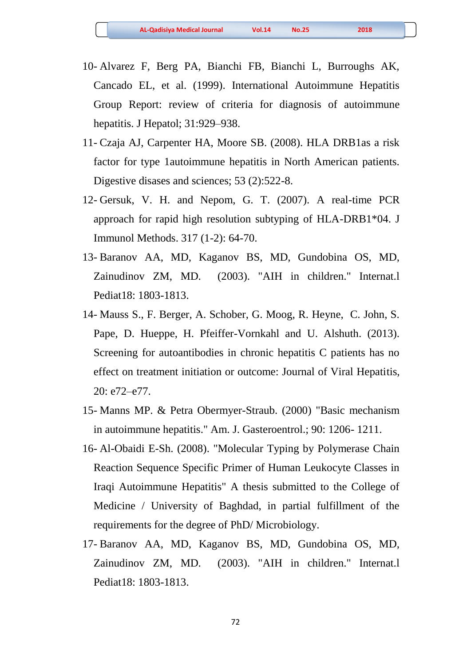- 10- Alvarez F, Berg PA, Bianchi FB, Bianchi L, Burroughs AK, Cancado EL, et al. (1999). International Autoimmune Hepatitis Group Report: review of criteria for diagnosis of autoimmune hepatitis. J Hepatol; 31:929–938.
- 11- Czaja AJ, Carpenter HA, Moore SB. (2008). HLA DRB1as a risk factor for type 1autoimmune hepatitis in North American patients. Digestive disases and sciences; 53 (2):522-8.
- 12- Gersuk, V. H. and Nepom, G. T. (2007). A real-time PCR approach for rapid high resolution subtyping of HLA-DRB1\*04. J Immunol Methods. 317 (1-2): 64-70.
- 13- Baranov AA, MD, Kaganov BS, MD, Gundobina OS, MD, Zainudinov ZM, MD. (2003). "AIH in children." Internat.l Pediat18: 1803-1813.
- 14- Mauss S., F. Berger, A. Schober, G. Moog, R. Heyne, C. John, S. Pape, D. Hueppe, H. Pfeiffer-Vornkahl and U. Alshuth. (2013). Screening for autoantibodies in chronic hepatitis C patients has no effect on treatment initiation or outcome: Journal of Viral Hepatitis, 20: e72–e77.
- 15- Manns MP. & Petra Obermyer-Straub. (2000) "Basic mechanism in autoimmune hepatitis." Am. J. Gasteroentrol.; 90: 1206- 1211.
- 16- Al-Obaidi E-Sh. (2008). "Molecular Typing by Polymerase Chain Reaction Sequence Specific Primer of Human Leukocyte Classes in Iraqi Autoimmune Hepatitis" A thesis submitted to the College of Medicine / University of Baghdad, in partial fulfillment of the requirements for the degree of PhD/ Microbiology.
- 17- Baranov AA, MD, Kaganov BS, MD, Gundobina OS, MD, Zainudinov ZM, MD. (2003). "AIH in children." Internat.l Pediat18: 1803-1813.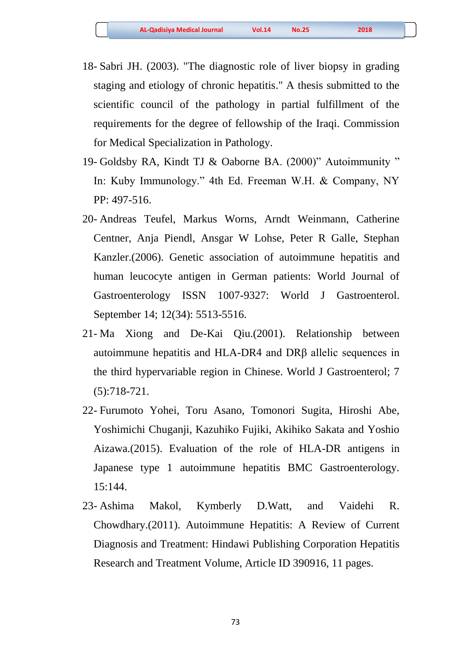- 18- Sabri JH. (2003). "The diagnostic role of liver biopsy in grading staging and etiology of chronic hepatitis." A thesis submitted to the scientific council of the pathology in partial fulfillment of the requirements for the degree of fellowship of the Iraqi. Commission for Medical Specialization in Pathology.
- 19- Goldsby RA, Kindt TJ & Oaborne BA. (2000)" Autoimmunity " In: Kuby Immunology." 4th Ed. Freeman W.H. & Company, NY PP: 497-516.
- 20- Andreas Teufel, Markus Worns, Arndt Weinmann, Catherine Centner, Anja Piendl, Ansgar W Lohse, Peter R Galle, Stephan Kanzler.(2006). Genetic association of autoimmune hepatitis and human leucocyte antigen in German patients: World Journal of Gastroenterology ISSN 1007-9327: World J Gastroenterol. September 14; 12(34): 5513-5516.
- 21- Ma Xiong and De-Kai Qiu.(2001). Relationship between autoimmune hepatitis and HLA-DR4 and DRβ allelic sequences in the third hypervariable region in Chinese. World J Gastroenterol; 7 (5):718-721.
- 22- Furumoto Yohei, Toru Asano, Tomonori Sugita, Hiroshi Abe, Yoshimichi Chuganji, Kazuhiko Fujiki, Akihiko Sakata and Yoshio Aizawa.(2015). Evaluation of the role of HLA-DR antigens in Japanese type 1 autoimmune hepatitis BMC Gastroenterology. 15:144.
- 23- Ashima Makol, Kymberly D.Watt, and Vaidehi R. Chowdhary.(2011). Autoimmune Hepatitis: A Review of Current Diagnosis and Treatment: Hindawi Publishing Corporation Hepatitis Research and Treatment Volume, Article ID 390916, 11 pages.